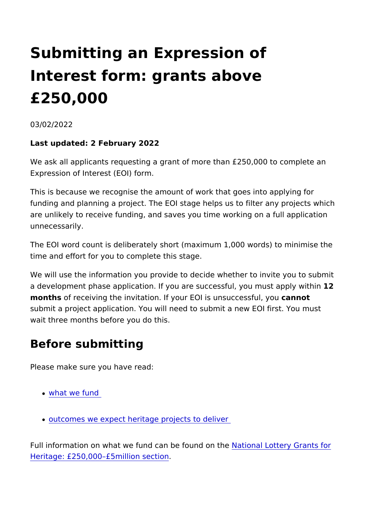# Submitting an Expression of Interest form: grants above £250,000

03/02/2022

Last updated: 2 February 2022

We ask all applicants requesting a grant of more than £250,000 Expression of Interest (EOI) form.

This is because we recognise the amount of work that goes into funding and planning a project. The EOI stage helps us to filter are unlikely to receive funding, and saves you time working on unnecessarily.

The EOI word count is deliberately short (maximum 1,000 words time and effort for you to complete this stage.

We will use the information you provide to decide whether to in a development phase application. If you are successful, 1 gou mu months of receiving the invitation. If your EOI is cansuccessful, y submit a project application. You will need to submit a new EOI wait three months before you do this.

### Before submitting

Please make sure you have read:

- [what we fu](https://www.heritagefund.org.uk/funding/what-we-fund)nd
- [outcomes we expect heritage proje](https://www.heritagefund.org.uk/funding/outcomes)cts to deliver

Full information on what we fund can bleaf bournad do tthe ey Grants for [Heritage: £250,000 £5milli](https://www.heritagefund.org.uk/funding/national-lottery-grants-heritage-250k-5m)on section .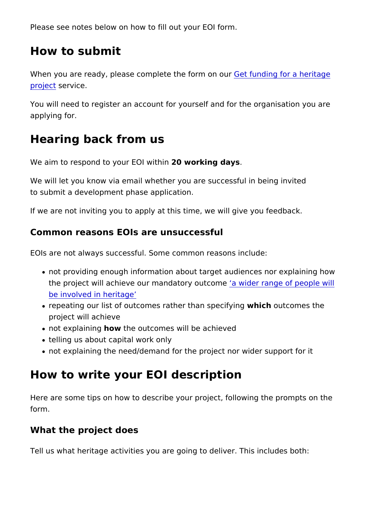Please see notes below on how to fill out your EOI form.

#### How to submit

When you are ready, please complete toetfoumdomgofuor a heritag [proje](https://www.heritagefund.org.uk/funding/sign-in)ctervice.

You will need to register an account for yourself and for the organisation applying for.

#### Hearing back from us

We aim to respond to your  $E$ ① W  $\omega$  ik hing days.

We will let you know via email whether you are successful in be to submit a development phase application.

If we are not inviting you to apply at this time, we will give you

Common reasons EOIs are unsuccessful

EOIs are not always successful. Some common reasons include:

- not providing enough information about target audiences no the project will achieve our mandatory idet croan ee of people w [be involved in he](https://www.heritagefund.org.uk/funding/outcomes/wider-range-people-will-be-involved-heritage)ritage
- repeating our list of outcomes rather whan a hopue complexing the project will achieve
- not explain hing the outcomes will be achieved
- telling us about capital work only
- not explaining the need/demand for the project nor wider su

## How to write your EOI description

Here are some tips on how to describe your project, following t form.

#### What the project does

Tell us what heritage activities you are going to deliver. This in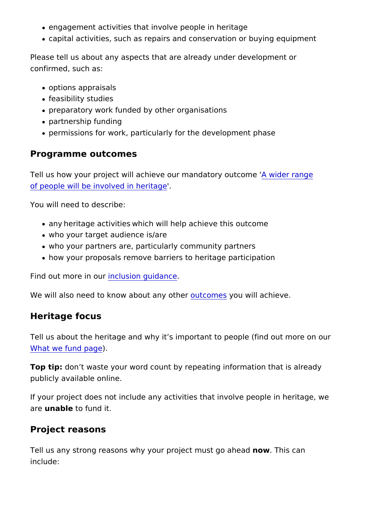- engagement activities that involve people in heritage
- capital activities, such as repairs and conservation or buyin

Please tell us about any aspects that are already under develop confirmed, such as:

- options appraisals
- feasibility studies
- preparatory work funded by other organisations
- partnership funding
- permissions for work, particularly for the development phase

Programme outcomes

Tell us how your project will achieve our maAn dwaitobery roauntgcome ' [of people will be involved](https://www.heritagefund.org.uk/funding/outcomes/wider-range-people-will-be-involved-heritage) in heritage

You will need to describe:

- any /heritage activities /which will help achieve this outcome
- who your target audience is/are
- who your partners are, particularly community partners /
- how your proposals remove barriers to heritage participation /

Find out more lime dusion guidance

We will also need to know about the tow that will achieve.

Heritage focus

Tell us about the heritage and why it s important to people (fin [What we fund](https://www.heritagefund.org.uk/funding/what-we-fund) )page

Top tipdon t waste your word count by repeating information that publicly available online.

If your project does not include any activities that involve peop are unable to fund it.

Project reasons

Tell us any strong reasons why your projecto mushigocahead include: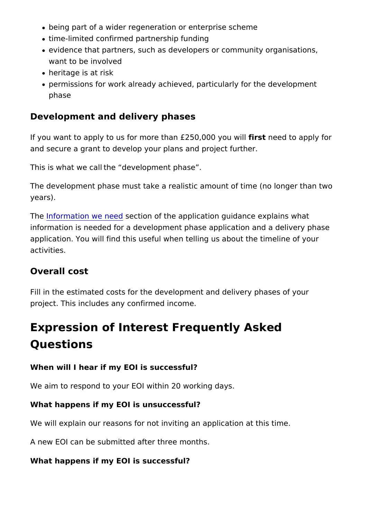- being part of a wider regeneration or enterprise scheme
- time-limited confirmed partnership funding
- o evidence that partners, such as developers or community or want to be involved
- heritage is at risk
- permissions for work already achieved, particularly for the development phase

Development and delivery phases

If you want to apply to us for more than £f2.550tn0e0e0d ytoouayopilly for and secure a grant to develop your plans and project further.

This is what we call /the development phase . /

The development phase must take a realistic amount of time (no years).

Th[e Information we](https://www.heritagefund.org.uk/funding/national-lottery-grants-heritage-250k-5m) section of the application guidance explains information is needed for a development phase application and application. You will find this useful when telling us about the activities.

#### Overall cost

Fill in the estimated costs for the development and delivery pha project. This includes any confirmed income.

## Expression of Interest Frequently Asked Questions

When will I hear if my EOI is successful?

We aim to respond to your EOI within 20 working days.

What happens if my EOI is unsuccessful?

We will explain our reasons for not inviting an application at th

A new EOI can be submitted after three months.

What happens if my EOI is successful?